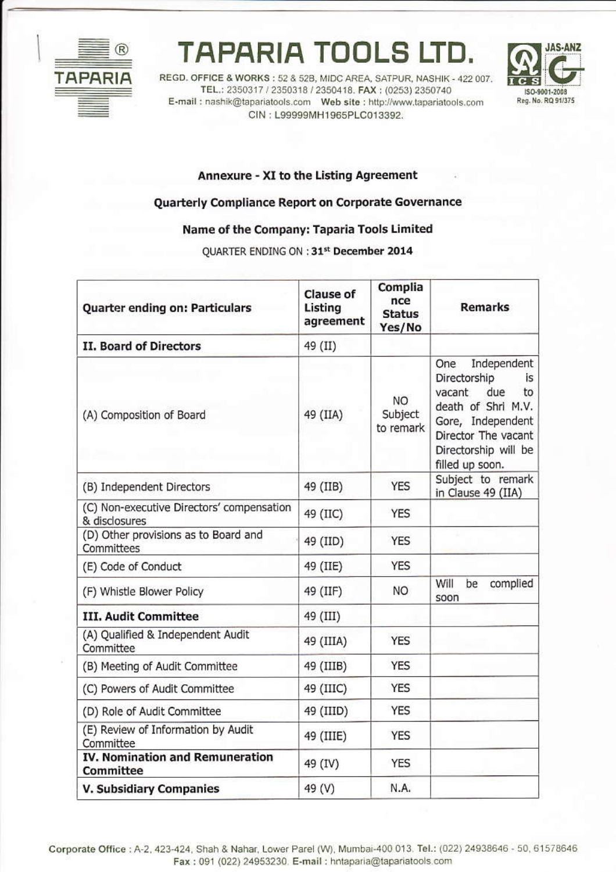

## **TAPARIA TOOLS LTD.**

REGD. OFFICE & WORKS: 52 & 52B, MIDC AREA, SATPUR, NASHIK - 422 007. TEL.: 2350317 / 2350318 / 2350418. FAX: (0253) 2350740 CIN: L99999MH1965PLC013392.



## Annexure - XI to the Listing Agreement

## Quarterly Compliance Report on Corporate Governance

## Name of the Company: Taparia Tools Limited

QUARTER ENDING ON : 31st December 2014

| Quarter ending on: Particulars                             | Clause of<br>Listing<br>agreement | Complia<br>nce<br><b>Status</b><br>Yes/No | <b>Remarks</b>                                                                                                                                                               |
|------------------------------------------------------------|-----------------------------------|-------------------------------------------|------------------------------------------------------------------------------------------------------------------------------------------------------------------------------|
| <b>II. Board of Directors</b>                              | 49 (II)                           |                                           |                                                                                                                                                                              |
| (A) Composition of Board                                   | 49 (IIA)                          | <b>NO</b><br>Subject<br>to remark         | Independent<br>One<br>Directorship<br>is<br>due<br>vacant<br>to<br>death of Shri M.V.<br>Gore, Independent<br>Director The vacant<br>Directorship will be<br>filled up soon. |
| (B) Independent Directors                                  | 49 (IIB)                          | <b>YES</b>                                | Subject to remark<br>in Clause 49 (IIA)                                                                                                                                      |
| (C) Non-executive Directors' compensation<br>& disclosures | 49 (IIC)                          | <b>YES</b>                                |                                                                                                                                                                              |
| (D) Other provisions as to Board and<br>Committees         | 49 (IID)                          | <b>YES</b>                                |                                                                                                                                                                              |
| (E) Code of Conduct                                        | 49 (IIE)                          | <b>YES</b>                                |                                                                                                                                                                              |
| (F) Whistle Blower Policy                                  | 49 (IIF)                          | NO.                                       | Will<br>complied<br>be<br>soon                                                                                                                                               |
| <b>III. Audit Committee</b>                                | 49 (III)                          |                                           |                                                                                                                                                                              |
| (A) Qualified & Independent Audit<br>Committee             | 49 (IIIA)                         | <b>YES</b>                                |                                                                                                                                                                              |
| (B) Meeting of Audit Committee                             | 49 (IIIB)                         | <b>YES</b>                                |                                                                                                                                                                              |
| (C) Powers of Audit Committee                              | 49 (IIIC)                         | <b>YES</b>                                |                                                                                                                                                                              |
| (D) Role of Audit Committee                                | 49 (IIID)                         | <b>YES</b>                                |                                                                                                                                                                              |
| (E) Review of Information by Audit<br>Committee            | 49 (IIIE)                         | <b>YES</b>                                |                                                                                                                                                                              |
| <b>IV. Nomination and Remuneration</b><br>Committee        | 49 (IV)                           | <b>YES</b>                                |                                                                                                                                                                              |
| <b>V. Subsidiary Companies</b>                             | 49 (V)                            | N.A.                                      |                                                                                                                                                                              |